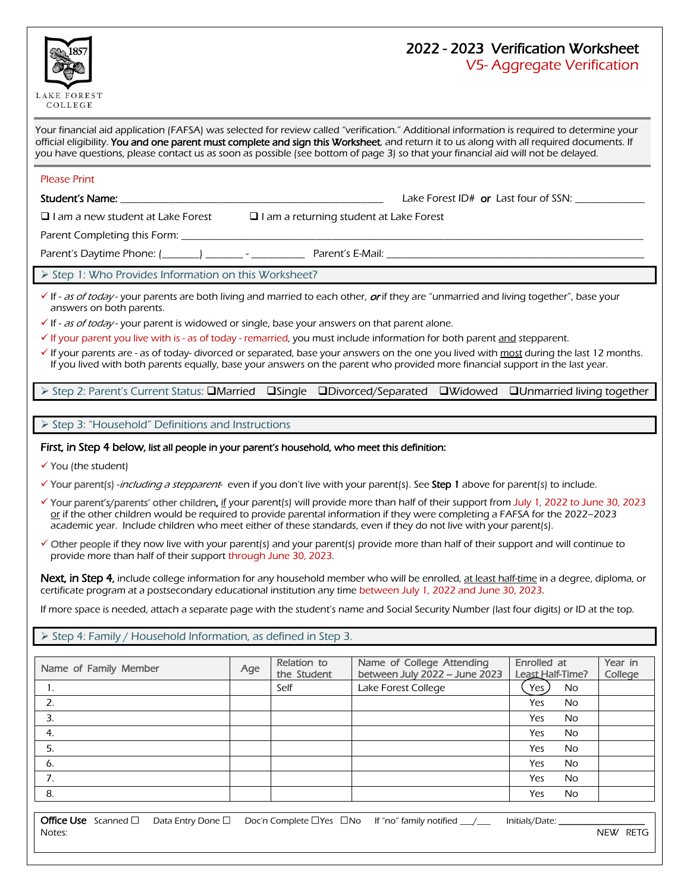

# 2022 - 2023 Verification Worksheet

V5- Aggregate Verification

Your financial aid application (FAFSA) was selected for review called "verification." Additional information is required to determine your official eligibility. You and one parent must complete and sign this Worksheet, and return it to us along with all required documents. If you have questions, please contact us as soon as possible (see bottom of page 3) so that your financial aid will not be delayed.

#### Please Print

Student's Name: \_\_\_\_\_\_\_\_\_\_\_\_\_\_\_\_\_\_\_\_\_\_\_\_\_\_\_\_\_\_\_\_\_\_\_\_\_\_\_\_\_\_\_\_\_\_\_\_\_ Lake Forest ID# or Last four of SSN: \_\_\_\_\_\_\_\_\_\_\_\_\_

 $\Box$  I am a new student at Lake Forest  $\Box$  I am a returning student at Lake Forest

Parent Completing this Form: \_\_\_\_\_\_\_\_\_\_\_\_\_\_\_\_\_\_\_\_\_\_\_\_\_\_\_\_\_\_\_\_\_\_\_\_\_\_\_\_\_\_\_\_\_\_\_\_\_\_\_\_\_\_\_\_\_\_\_\_\_\_\_\_\_\_\_\_\_\_\_\_\_\_\_\_\_\_\_\_\_\_\_\_\_\_

Parent's Daytime Phone: (\_\_\_\_\_\_\_) \_\_\_\_\_\_\_ - \_\_\_\_\_\_\_\_\_\_ Parent's E-Mail: \_\_\_\_\_\_\_\_\_\_\_\_\_\_\_\_\_\_\_\_\_\_\_\_\_\_\_\_\_\_\_\_\_\_\_\_\_\_\_\_\_\_\_\_\_\_\_\_

Step 1: Who Provides Information on this Worksheet?

 $\checkmark$  If - as of today - your parents are both living and married to each other, or if they are "unmarried and living together", base your answers on both parents.

 $\checkmark$  If - *as of today* - your parent is widowed or single, base your answers on that parent alone.

 $\checkmark$  If your parent you live with is - as of today - remarried, you must include information for both parent and stepparent.

 $\checkmark$  If your parents are - as of today- divorced or separated, base your answers on the one you lived with most during the last 12 months. If you lived with both parents equally, base your answers on the parent who provided more financial support in the last year.

▶ Step 2: Parent's Current Status: **QMarried QSingle QDivorced/Separated QWidowed QUnmarried living together** 

 $\triangleright$  Step 3: "Household" Definitions and Instructions

### First, in Step 4 below, list all people in your parent's household, who meet this definition:

 $\checkmark$  You (the student)

√ Your parent(s) -*including a stepparent*- even if you don't live with your parent(s). See **Step 1** above for parent(s) to include.

- Your parent's/parents' other children, if your parent(s) will provide more than half of their support from July 1, 2022 to June 30, 2023 or if the other children would be required to provide parental information if they were completing a FAFSA for the 2022-2023 academic year. Include children who meet either of these standards, even if they do not live with your parent(s).
- $\checkmark$  Other people if they now live with your parent(s) and your parent(s) provide more than half of their support and will continue to provide more than half of their support through June 30, 2023.

Next, in Step 4, include college information for any household member who will be enrolled, at least half-time in a degree, diploma, or certificate program at a postsecondary educational institution any time between July 1, 2022 and June 30, 2023.

If more space is needed, attach a separate page with the student's name and Social Security Number (last four digits) or ID at the top.

 $\triangleright$  Step 4: Family / Household Information, as defined in Step 3.

| Name of Family Member | Age | Relation to<br>the Student | Name of College Attending<br>between July 2022 - June 2023 | Enrolled at<br>Least Half-Time? | Year in<br>College |
|-----------------------|-----|----------------------------|------------------------------------------------------------|---------------------------------|--------------------|
| 1.                    |     | Self                       | Lake Forest College                                        | Yes<br>No                       |                    |
| 2.                    |     |                            |                                                            | Yes<br><b>No</b>                |                    |
|                       |     |                            |                                                            | Yes<br>No.                      |                    |
| 4.                    |     |                            |                                                            | Yes<br><b>No</b>                |                    |
| 5.                    |     |                            |                                                            | Yes<br><b>No</b>                |                    |
| 6.                    |     |                            |                                                            | Yes<br><b>No</b>                |                    |
| 7.                    |     |                            |                                                            | Yes<br><b>No</b>                |                    |
| 8.                    |     |                            |                                                            | <b>No</b><br>Yes                |                    |

|        |  | Office Use Scanned $\Box$ Data Entry Done $\Box$ Doc'n Complete $\Box$ Yes $\Box$ No If "no" family notified $\Box/\Box$ Initials/Date: |          |
|--------|--|-----------------------------------------------------------------------------------------------------------------------------------------|----------|
| Notes: |  |                                                                                                                                         | NEW RETG |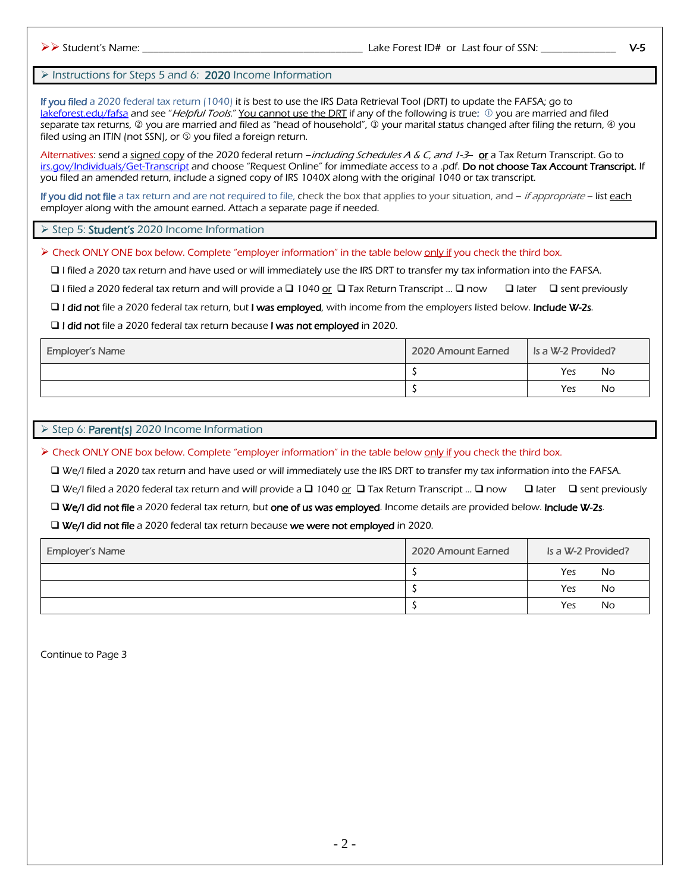## Instructions for Steps 5 and 6: 2020 Income Information

If you filed a 2020 federal tax return (1040) it is best to use the IRS Data Retrieval Tool (DRT) to update the FAFSA; go to [lakeforest.edu/fafsa](http://www.lakeforest.edu/fafsa) and see "Helpful Tools." You cannot use the DRT if any of the following is true:  $\mathbb D$  you are married and filed separate tax returns, @ you are married and filed as "head of household", @ your marital status changed after filing the return, @ you filed using an ITIN (not SSN), or  $\circledS$  you filed a foreign return.

Alternatives: send a signed copy of the 2020 federal return –*including Schedules A & C, and 1-3*– or a Tax Return Transcript. Go to [irs.gov/Individuals/Get-Transcript](http://www.irs.gov/Individuals/Get-Transcript) and choose "Request Online" for immediate access to a .pdf. Do not choose Tax Account Transcript. If you filed an amended return, include a signed copy of IRS 1040X along with the original 1040 or tax transcript.

If you did not file a tax return and are not required to file, check the box that applies to your situation, and – *if appropriate* – list each employer along with the amount earned. Attach a separate page if needed.

Step 5: Student's 2020 Income Information

 $\triangleright$  Check ONLY ONE box below. Complete "employer information" in the table below only if you check the third box.

I filed a 2020 tax return and have used or will immediately use the IRS DRT to transfer my tax information into the FAFSA.

 $\Box$  I filed a 2020 federal tax return and will provide a  $\Box$  1040 or  $\Box$  Tax Return Transcript ...  $\Box$  now  $\Box$  ater  $\Box$  sent previously

I did not file a 2020 federal tax return, but I was employed, with income from the employers listed below. Include W-2s.

□ I did not file a 2020 federal tax return because I was not employed in 2020.

| <b>Employer's Name</b> | 2020 Amount Earned | Is a W-2 Provided? |  |
|------------------------|--------------------|--------------------|--|
|                        |                    | Yes<br>No.         |  |
|                        |                    | Yes<br>No          |  |

#### Step 6: Parent(s) 2020 Income Information

> Check ONLY ONE box below. Complete "employer information" in the table below only if you check the third box.

We/I filed a 2020 tax return and have used or will immediately use the IRS DRT to transfer my tax information into the FAFSA.

 $\Box$  We/I filed a 2020 federal tax return and will provide a  $\Box$  1040 or  $\Box$  Tax Return Transcript ...  $\Box$  now  $\Box$  later  $\Box$  sent previously

□ We/I did not file a 2020 federal tax return, but one of us was employed. Income details are provided below. Include W-2s.

□ We/I did not file a 2020 federal tax return because we were not employed in 2020.

| <b>Employer's Name</b> | 2020 Amount Earned | Is a W-2 Provided? |  |
|------------------------|--------------------|--------------------|--|
|                        |                    | Yes<br>No          |  |
|                        |                    | Yes<br>No          |  |
|                        |                    | Yes<br>No          |  |

Continue to Page 3